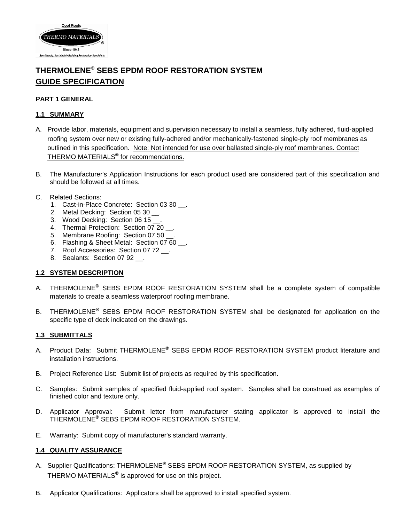

# **THERMOLENE® SEBS EPDM ROOF RESTORATION SYSTEM GUIDE SPECIFICATION**

### **PART 1 GENERAL**

#### **1.1 SUMMARY**

- A. Provide labor, materials, equipment and supervision necessary to install a seamless, fully adhered, fluid-applied roofing system over new or existing fully-adhered and/or mechanically-fastened single-ply roof membranes as outlined in this specification. Note: Not intended for use over ballasted single-ply roof membranes. Contact THERMO MATERIALS**®** for recommendations.
- B. The Manufacturer's Application Instructions for each product used are considered part of this specification and should be followed at all times.
- C. Related Sections:
	- 1. Cast-in-Place Concrete: Section 03 30 \_\_.
	- 2. Metal Decking: Section 05 30 \_\_.
	- 3. Wood Decking: Section 06 15
	- 4. Thermal Protection: Section 07 20 .
	- 5. Membrane Roofing: Section 07 50.
	- 6. Flashing & Sheet Metal: Section 07 60 \_\_.
	- 7. Roof Accessories: Section 07 72 \_\_.
	- 8. Sealants: Section 07 92 .

#### **1.2 SYSTEM DESCRIPTION**

- A. THERMOLENE**®** SEBS EPDM ROOF RESTORATION SYSTEM shall be a complete system of compatible materials to create a seamless waterproof roofing membrane.
- B. THERMOLENE**®** SEBS EPDM ROOF RESTORATION SYSTEM shall be designated for application on the specific type of deck indicated on the drawings.

#### **1.3 SUBMITTALS**

- A. Product Data: Submit THERMOLENE**®** SEBS EPDM ROOF RESTORATION SYSTEM product literature and installation instructions.
- B. Project Reference List: Submit list of projects as required by this specification.
- C. Samples: Submit samples of specified fluid-applied roof system. Samples shall be construed as examples of finished color and texture only.
- D. Applicator Approval: Submit letter from manufacturer stating applicator is approved to install the THERMOLENE**®** SEBS EPDM ROOF RESTORATION SYSTEM.
- E. Warranty: Submit copy of manufacturer's standard warranty.

#### **1.4 QUALITY ASSURANCE**

- A. Supplier Qualifications: THERMOLENE**®** SEBS EPDM ROOF RESTORATION SYSTEM, as supplied by THERMO MATERIALS**®** is approved for use on this project.
- B. Applicator Qualifications: Applicators shall be approved to install specified system.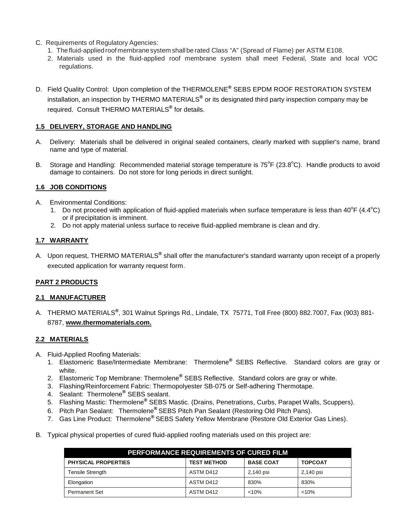- C. Requirements of Regulatory Agencies:
	- 1. Thefluid-applied roof membranesystem shall be rated Class "A" (Spread of Flame) per ASTM E108.
	- 2. Materials used in the fluid-applied roof membrane system shall meet Federal, State and local VOC regulations.
- D. Field Quality Control: Upon completion of the THERMOLENE**®** SEBS EPDM ROOF RESTORATION SYSTEM installation, an inspection by THERMO MATERIALS**®** or its designated third party inspection company may be required. Consult THERMO MATERIALS**®** for details.

### **1.5 DELIVERY, STORAGE AND HANDLING**

- A. Delivery: Materials shall be delivered in original sealed containers, clearly marked with supplier's name, brand name and type of material.
- B. Storage and Handling: Recommended material storage temperature is 75°F (23.8°C). Handle products to avoid damage to containers. Do not store for long periods in direct sunlight.

### **1.6 JOB CONDITIONS**

- A. Environmental Conditions:
	- 1. Do not proceed with application of fluid-applied materials when surface temperature is less than  $40^{\circ}$ F (4.4 $^{\circ}$ C) or if precipitation is imminent.
	- 2. Do not apply material unless surface to receive fluid-applied membrane is clean and dry.

#### **1.7 WARRANTY**

A. Upon request, THERMO MATERIALS**®** shall offer the manufacturer's standard warranty upon receipt of a properly executed application for warranty request form.

### **PART 2 PRODUCTS**

### **2.1 MANUFACTURER**

A. THERMO MATERIALS**®**, 301 Walnut Springs Rd., Lindale, TX 75771, Toll Free (800) 882.7007, Fax (903) 881- 8787, **www.thermomaterials.com.**

### **2.2 MATERIALS**

- A. Fluid-Applied Roofing Materials:
	- 1. Elastomeric Base/Intermediate Membrane: Thermolene**®** SEBS Reflective. Standard colors are gray or white.
	- 2. Elastomeric Top Membrane: Thermolene**®** SEBS Reflective. Standard colors are gray or white.
	- 3. Flashing/Reinforcement Fabric: Thermopolyester SB-075 or Self-adhering Thermotape.
	- 4. Sealant: Thermolene**®** SEBS sealant.
	- 5. Flashing Mastic: Thermolene**®** SEBS Mastic. (Drains, Penetrations, Curbs, Parapet Walls, Scuppers).
	- 6. Pitch Pan Sealant: Thermolene**®** SEBS Pitch Pan Sealant (Restoring Old Pitch Pans).
	- 7. Gas Line Product: Thermolene**®** SEBS Safety Yellow Membrane (Restore Old Exterior Gas Lines).
- B. Typical physical properties of cured fluid-applied roofing materials used on this project are:

| <b>PERFORMANCE REQUIREMENTS OF CURED FILM</b> |                    |                  |                |  |
|-----------------------------------------------|--------------------|------------------|----------------|--|
| <b>PHYSICAL PROPERTIES</b>                    | <b>TEST METHOD</b> | <b>BASE COAT</b> | <b>TOPCOAT</b> |  |
| Tensile Strength                              | ASTM D412          | 2,140 psi        | 2,140 psi      |  |
| Elongation                                    | ASTM D412          | 830%             | 830%           |  |
| <b>Permanent Set</b>                          | ASTM D412          | < 10%            | < 10%          |  |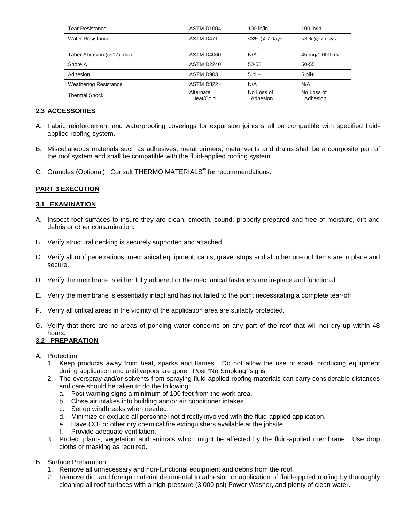| Tear Resistance              | ASTM D1004             | $100$ lb/in            | $100$ lb/in            |
|------------------------------|------------------------|------------------------|------------------------|
| <b>Water Resistance</b>      | ASTM D471              | <3% @ 7 days           | $<3\%$ @ 7 days        |
|                              |                        |                        |                        |
| Taber Abrasion (cs17), max   | ASTM D4060             | N/A                    | 45 mg/1,000 rev        |
| Shore A                      | <b>ASTM D2240</b>      | 50-55                  | 50-55                  |
| Adhesion                     | ASTM D903              | $5$ pli+               | $5$ pli+               |
| <b>Weathering Resistance</b> | ASTM D822              | N/A                    | N/A                    |
| <b>Thermal Shock</b>         | Alternate<br>Heat/Cold | No Loss of<br>Adhesion | No Loss of<br>Adhesion |

### **2.3 ACCESSORIES**

- A. Fabric reinforcement and waterproofing coverings for expansion joints shall be compatible with specified fluidapplied roofing system.
- B. Miscellaneous materials such as adhesives, metal primers, metal vents and drains shall be a composite part of the roof system and shall be compatible with the fluid-applied roofing system.
- C. Granules (Optional): Consult THERMO MATERIALS**®** for recommendations.

### **PART 3 EXECUTION**

### **3.1 EXAMINATION**

- A. Inspect roof surfaces to insure they are clean, smooth, sound, properly prepared and free of moisture, dirt and debris or other contamination.
- B. Verify structural decking is securely supported and attached.
- C. Verify all roof penetrations, mechanical equipment, cants, gravel stops and all other on-roof items are in place and secure.
- D. Verify the membrane is either fully adhered or the mechanical fasteners are in-place and functional.
- E. Verify the membrane is essentially intact and has not failed to the point necessitating a complete tear-off.
- F. Verify all critical areas in the vicinity of the application area are suitably protected.
- G. Verify that there are no areas of ponding water concerns on any part of the roof that will not dry up within 48 hours.

### **3.2 PREPARATION**

- A. Protection:
	- 1. Keep products away from heat, sparks and flames. Do not allow the use of spark producing equipment during application and until vapors are gone. Post "No Smoking" signs.
	- 2. The overspray and/or solvents from spraying fluid-applied roofing materials can carry considerable distances and care should be taken to do the following:
		- a. Post warning signs a minimum of 100 feet from the work area.
		- b. Close air intakes into building and/or air conditioner intakes.
		- c. Set up windbreaks when needed.
		- d. Minimize or exclude all personnel not directly involved with the fluid-applied application.
		- e. Have  $CO<sub>2</sub>$  or other dry chemical fire extinguishers available at the jobsite.
		- f. Provide adequate ventilation.
	- 3. Protect plants, vegetation and animals which might be affected by the fluid-applied membrane. Use drop cloths or masking as required.
- B. Surface Preparation:
	- 1. Remove all unnecessary and non-functional equipment and debris from the roof.
	- 2. Remove dirt, and foreign material detrimental to adhesion or application of fluid-applied roofing by thoroughly cleaning all roof surfaces with a high-pressure (3,000 psi) Power Washer, and plenty of clean water.